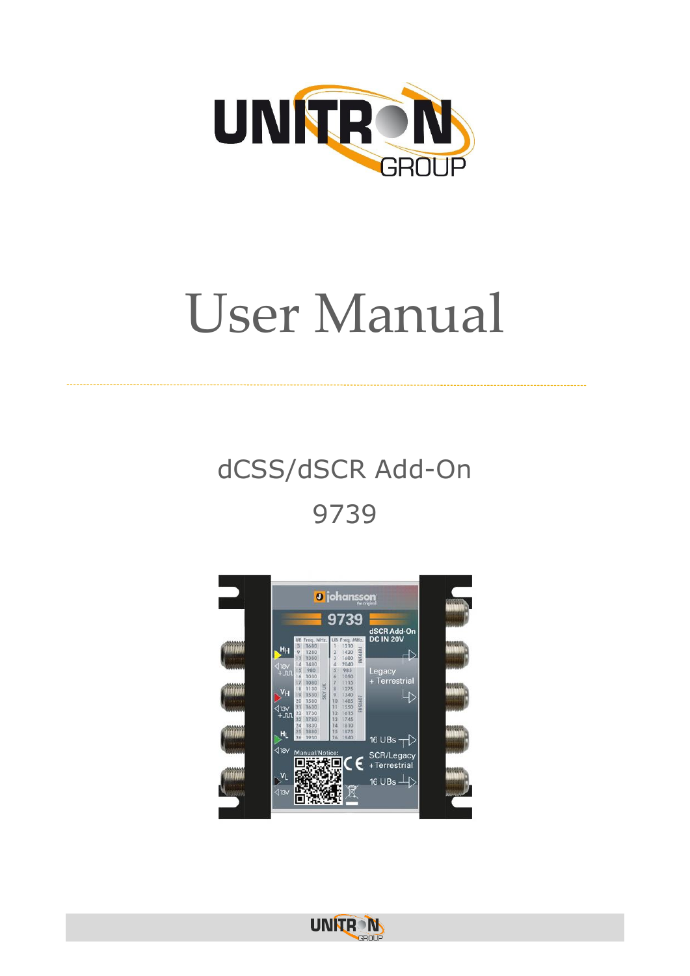

# User Manual

## dCSS/dSCR Add-On 9739



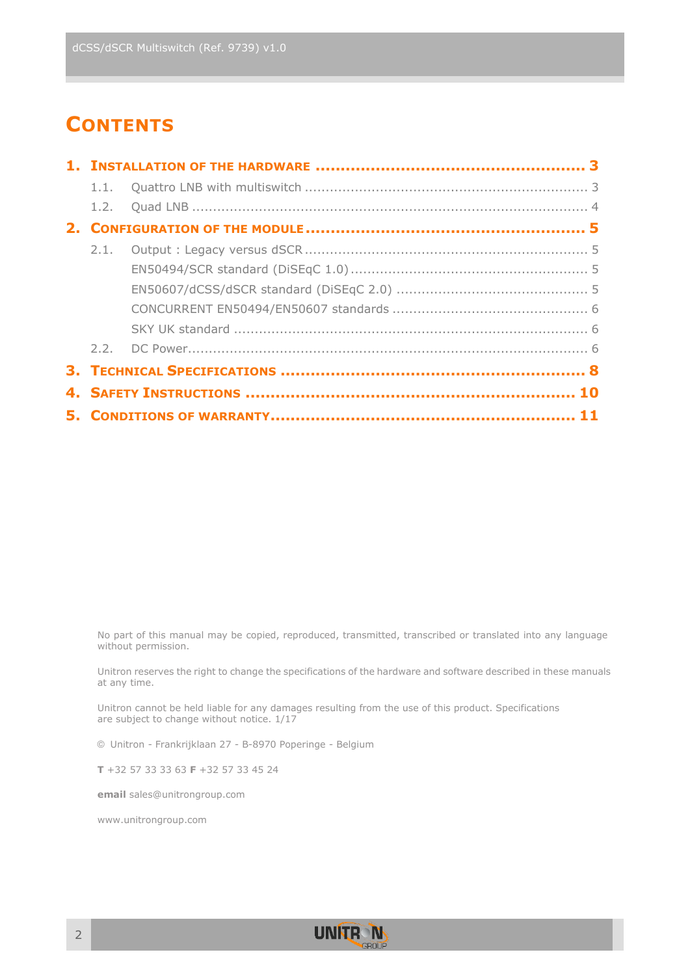### **CONTENTS**

No part of this manual may be copied, reproduced, transmitted, transcribed or translated into any language without permission.

Unitron reserves the right to change the specifications of the hardware and software described in these manuals at any time.

Unitron cannot be held liable for any damages resulting from the use of this product. Specifications are subject to change without notice.  $1/17$ 

© Unitron - Frankrijklaan 27 - B-8970 Poperinge - Belgium

**T** +32 57 33 33 63 **F** +32 57 33 45 24

**email** sales@unitrongroup.com

www.unitrongroup.com

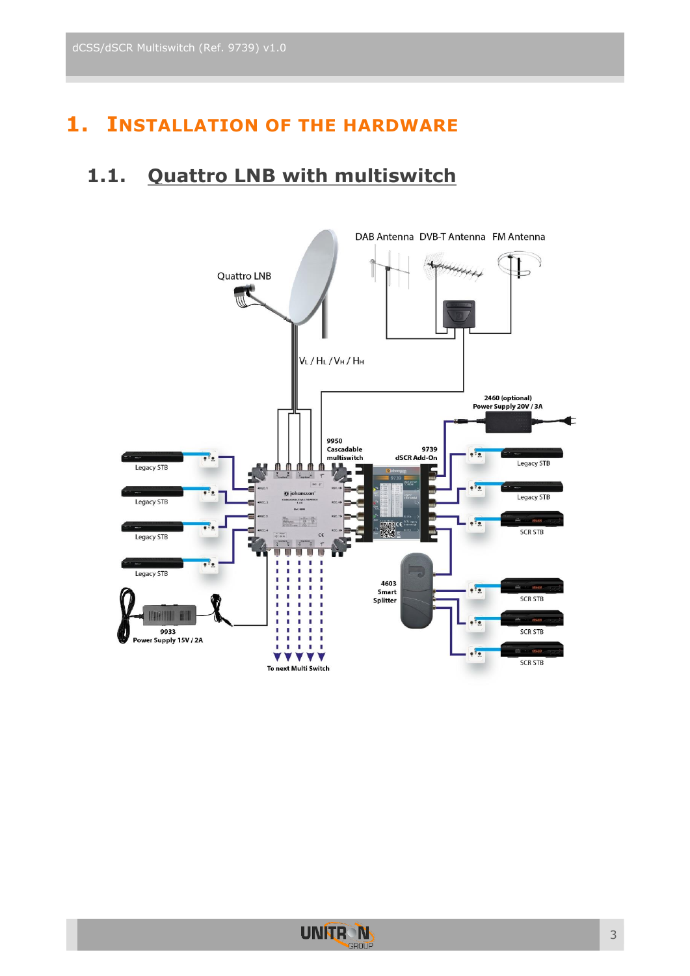### <span id="page-2-0"></span>**1. INSTALLATION OF THE HARDWARE**

#### <span id="page-2-1"></span>**1.1. Quattro LNB with multiswitch**



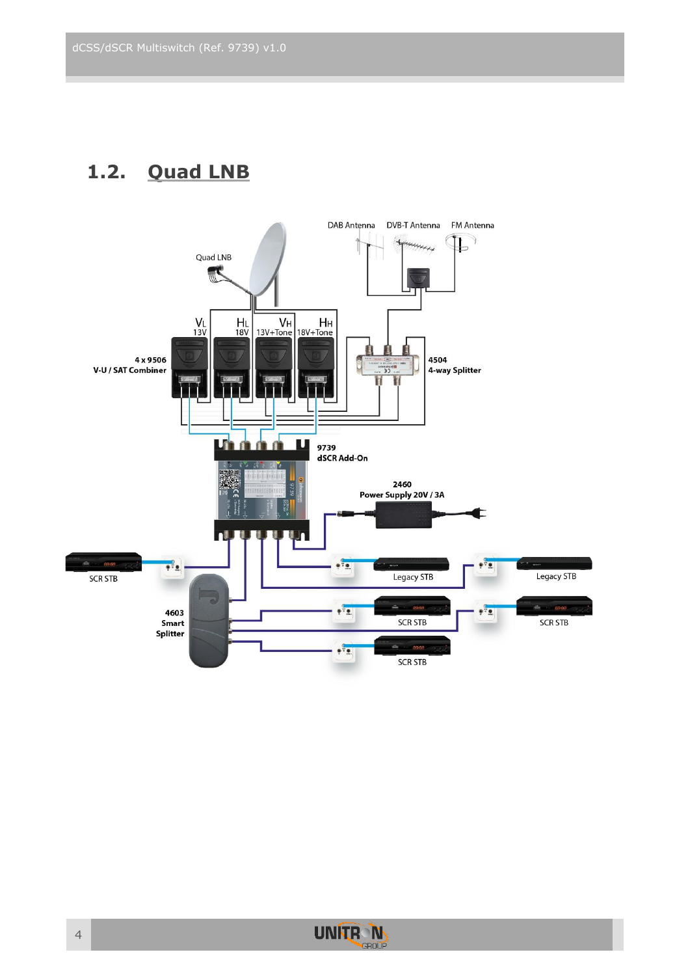### <span id="page-3-0"></span>**1.2. Quad LNB**



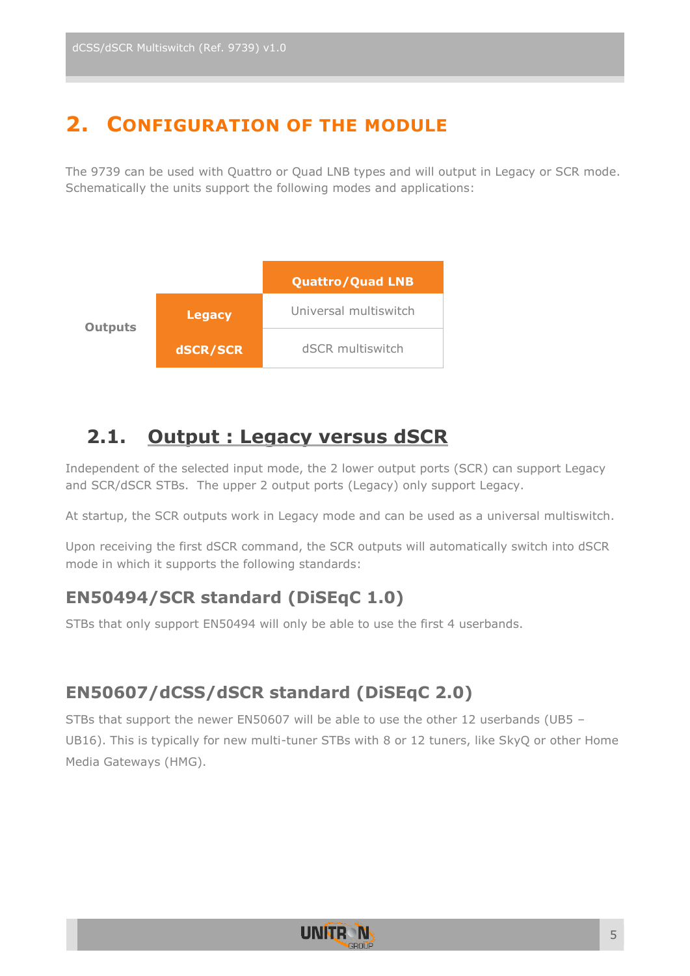### <span id="page-4-0"></span>**2. CONFIGURATION OF THE MODULE**

The 9739 can be used with Quattro or Quad LNB types and will output in Legacy or SCR mode. Schematically the units support the following modes and applications:



#### <span id="page-4-1"></span>**2.1. Output : Legacy versus dSCR**

Independent of the selected input mode, the 2 lower output ports (SCR) can support Legacy and SCR/dSCR STBs. The upper 2 output ports (Legacy) only support Legacy.

At startup, the SCR outputs work in Legacy mode and can be used as a universal multiswitch.

Upon receiving the first dSCR command, the SCR outputs will automatically switch into dSCR mode in which it supports the following standards:

#### <span id="page-4-2"></span>**EN50494/SCR standard (DiSEqC 1.0)**

STBs that only support EN50494 will only be able to use the first 4 userbands.

#### <span id="page-4-3"></span>**EN50607/dCSS/dSCR standard (DiSEqC 2.0)**

STBs that support the newer EN50607 will be able to use the other 12 userbands (UB5 – UB16). This is typically for new multi-tuner STBs with 8 or 12 tuners, like SkyQ or other Home Media Gateways (HMG).

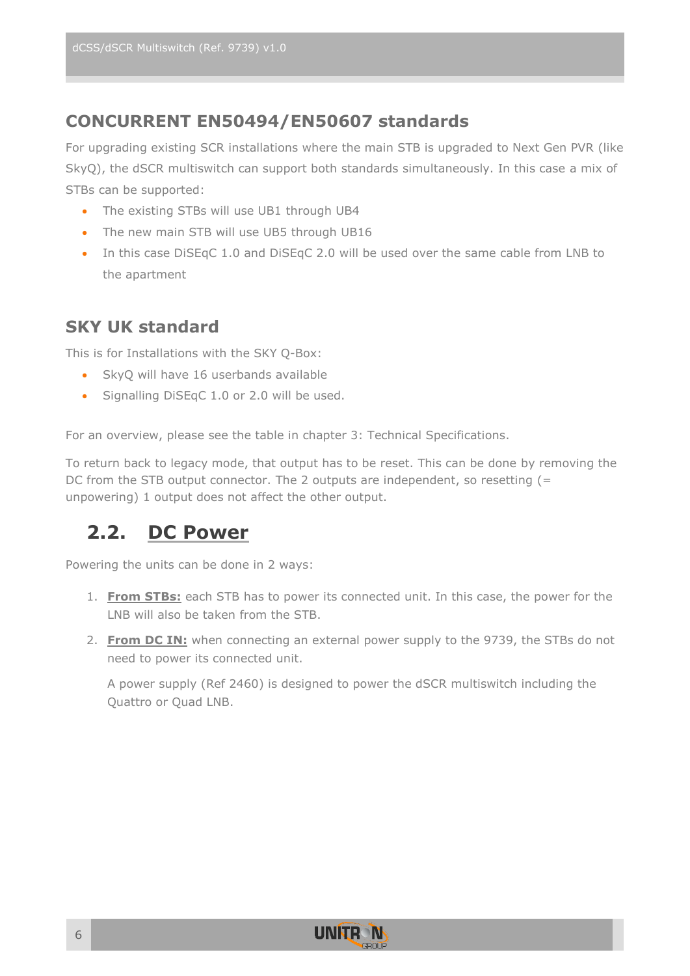#### <span id="page-5-0"></span>**CONCURRENT EN50494/EN50607 standards**

For upgrading existing SCR installations where the main STB is upgraded to Next Gen PVR (like SkyQ), the dSCR multiswitch can support both standards simultaneously. In this case a mix of STBs can be supported:

- The existing STBs will use UB1 through UB4
- The new main STB will use UB5 through UB16
- In this case DiSEqC 1.0 and DiSEqC 2.0 will be used over the same cable from LNB to the apartment

#### <span id="page-5-1"></span>**SKY UK standard**

This is for Installations with the SKY Q-Box:

- SkyQ will have 16 userbands available
- Signalling DiSEqC 1.0 or 2.0 will be used.

For an overview, please see the table in chapter 3: Technical Specifications.

To return back to legacy mode, that output has to be reset. This can be done by removing the DC from the STB output connector. The 2 outputs are independent, so resetting (= unpowering) 1 output does not affect the other output.

### <span id="page-5-2"></span>**2.2. DC Power**

Powering the units can be done in 2 ways:

- 1. **From STBs:** each STB has to power its connected unit. In this case, the power for the LNB will also be taken from the STB.
- 2. **From DC IN:** when connecting an external power supply to the 9739, the STBs do not need to power its connected unit.

A power supply (Ref 2460) is designed to power the dSCR multiswitch including the Quattro or Quad LNB.

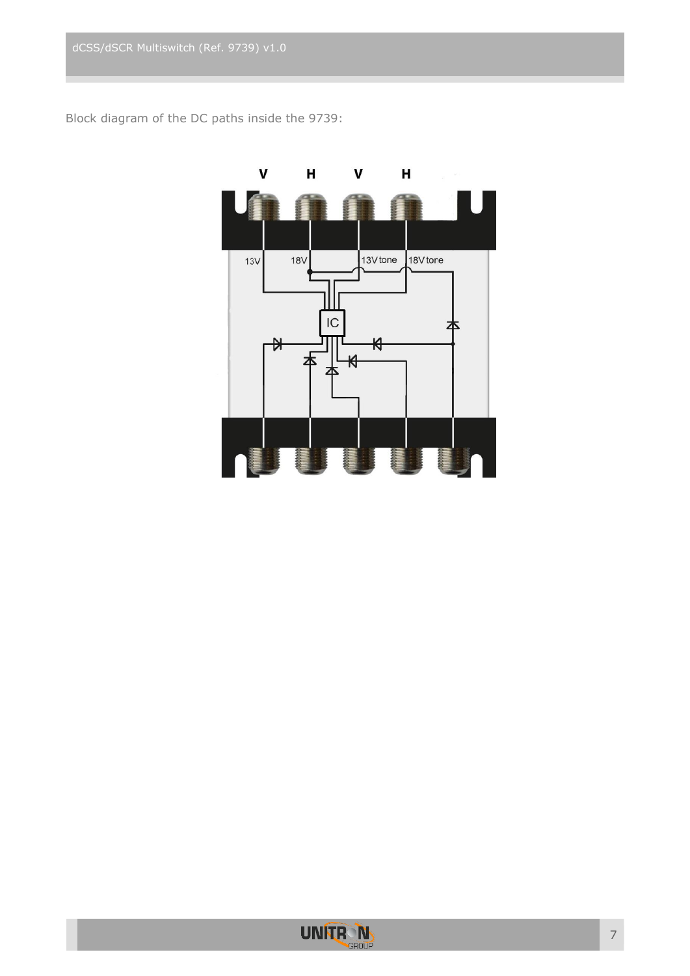Block diagram of the DC paths inside the 9739:



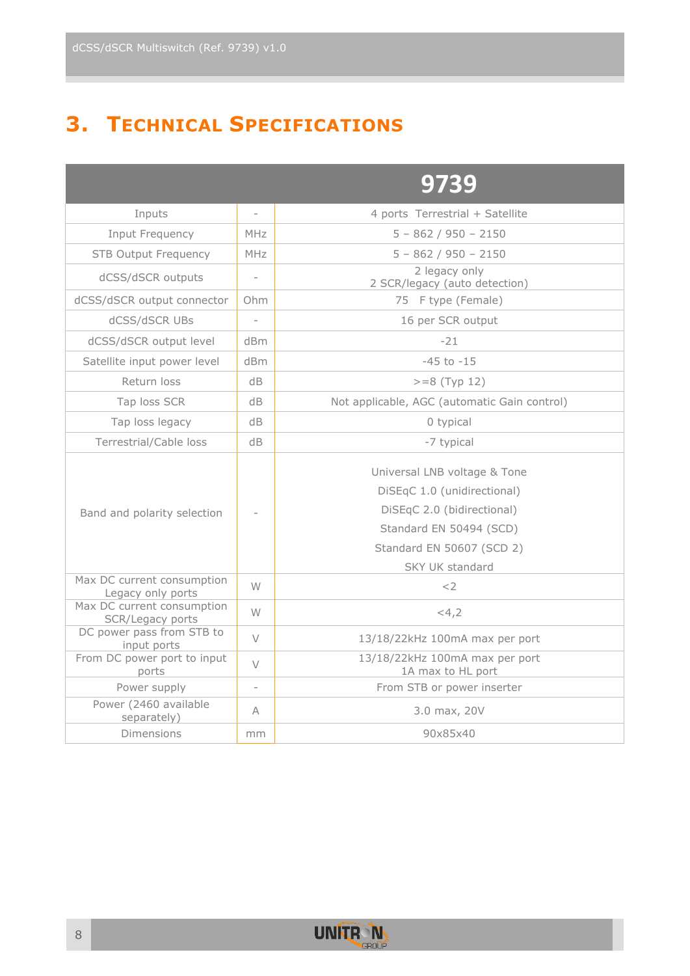### <span id="page-7-0"></span>**3. TECHNICAL SPECIFICATIONS**

|                                                 |                          | 9739                                                                                                                                                                        |  |  |
|-------------------------------------------------|--------------------------|-----------------------------------------------------------------------------------------------------------------------------------------------------------------------------|--|--|
| Inputs                                          | $\overline{\phantom{0}}$ | 4 ports Terrestrial + Satellite                                                                                                                                             |  |  |
| Input Frequency                                 | MHz                      | $5 - 862 / 950 - 2150$                                                                                                                                                      |  |  |
| <b>STB Output Frequency</b>                     | <b>MHz</b>               | $5 - 862 / 950 - 2150$                                                                                                                                                      |  |  |
| dCSS/dSCR outputs                               | $\overline{a}$           | 2 legacy only<br>2 SCR/legacy (auto detection)                                                                                                                              |  |  |
| dCSS/dSCR output connector                      | Ohm                      | 75 F type (Female)                                                                                                                                                          |  |  |
| dCSS/dSCR UBs                                   |                          | 16 per SCR output                                                                                                                                                           |  |  |
| dCSS/dSCR output level                          | dBm                      | $-21$                                                                                                                                                                       |  |  |
| Satellite input power level                     | d <sub>Bm</sub>          | $-45$ to $-15$                                                                                                                                                              |  |  |
| Return loss                                     | dB.                      | $>=8$ (Typ 12)                                                                                                                                                              |  |  |
| Tap loss SCR                                    | dB                       | Not applicable, AGC (automatic Gain control)                                                                                                                                |  |  |
| Tap loss legacy                                 | dB                       | 0 typical                                                                                                                                                                   |  |  |
| Terrestrial/Cable loss                          | dB                       | -7 typical                                                                                                                                                                  |  |  |
| Band and polarity selection                     |                          | Universal LNB voltage & Tone<br>DiSEqC 1.0 (unidirectional)<br>DiSEqC 2.0 (bidirectional)<br>Standard EN 50494 (SCD)<br>Standard EN 50607 (SCD 2)<br><b>SKY UK standard</b> |  |  |
| Max DC current consumption<br>Legacy only ports | W                        | $<$ 2                                                                                                                                                                       |  |  |
| Max DC current consumption<br>SCR/Legacy ports  | W                        | <4,2                                                                                                                                                                        |  |  |
| DC power pass from STB to<br>input ports        | $\vee$                   | 13/18/22kHz 100mA max per port                                                                                                                                              |  |  |
| From DC power port to input<br>ports            | $\vee$                   | 13/18/22kHz 100mA max per port<br>1A max to HL port                                                                                                                         |  |  |
| Power supply                                    | $\overline{a}$           | From STB or power inserter                                                                                                                                                  |  |  |
| Power (2460 available<br>separately)            | А                        | 3.0 max, 20V                                                                                                                                                                |  |  |
| Dimensions                                      | mm                       | 90x85x40                                                                                                                                                                    |  |  |

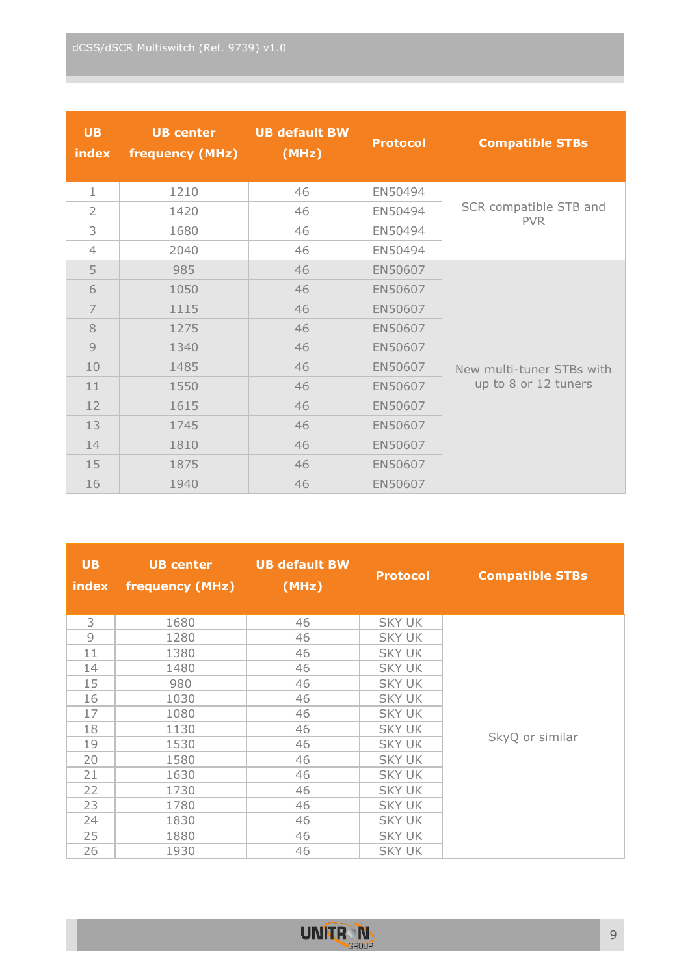| <b>UB</b><br>index | <b>UB center</b><br>frequency (MHz) | <b>UB default BW</b><br>(MHz) | <b>Protocol</b> | <b>Compatible STBs</b>    |
|--------------------|-------------------------------------|-------------------------------|-----------------|---------------------------|
| $\mathbf{1}$       | 1210                                | 46                            | EN50494         |                           |
| $\overline{2}$     | 1420                                | 46                            | EN50494         | SCR compatible STB and    |
| 3                  | 1680                                | 46                            | EN50494         | <b>PVR</b>                |
| 4                  | 2040                                | 46                            | EN50494         |                           |
| 5                  | 985                                 | 46                            | EN50607         |                           |
| 6                  | 1050                                | 46                            | EN50607         |                           |
| $\overline{7}$     | 1115                                | 46                            | EN50607         |                           |
| 8                  | 1275                                | 46                            | EN50607         |                           |
| $\overline{9}$     | 1340                                | 46                            | EN50607         |                           |
| 10                 | 1485                                | 46                            | EN50607         | New multi-tuner STBs with |
| 11                 | 1550                                | 46                            | EN50607         | up to 8 or 12 tuners      |
| 12                 | 1615                                | 46                            | EN50607         |                           |
| 13                 | 1745                                | 46                            | EN50607         |                           |
| 14                 | 1810                                | 46                            | EN50607         |                           |
| 15                 | 1875                                | 46                            | EN50607         |                           |
| 16                 | 1940                                | 46                            | EN50607         |                           |

| <b>UB</b><br>index | <b>UB center</b><br>frequency (MHz) | <b>UB default BW</b><br>(MHz) | <b>Protocol</b> | <b>Compatible STBs</b> |
|--------------------|-------------------------------------|-------------------------------|-----------------|------------------------|
| 3                  | 1680                                | 46                            | <b>SKY UK</b>   |                        |
| 9                  | 1280                                | 46                            | <b>SKY UK</b>   |                        |
| 11                 | 1380                                | 46                            | <b>SKY UK</b>   |                        |
| 14                 | 1480                                | 46                            | <b>SKY UK</b>   |                        |
| 15                 | 980                                 | 46                            | <b>SKY UK</b>   |                        |
| 16                 | 1030                                | 46                            | <b>SKY UK</b>   |                        |
| 17                 | 1080                                | 46                            | <b>SKY UK</b>   |                        |
| 18                 | 1130                                | 46                            | <b>SKY UK</b>   |                        |
| 19                 | 1530                                | 46                            | <b>SKY UK</b>   | SkyQ or similar        |
| 20                 | 1580                                | 46                            | <b>SKY UK</b>   |                        |
| 21                 | 1630                                | 46                            | <b>SKY UK</b>   |                        |
| 22                 | 1730                                | 46                            | <b>SKY UK</b>   |                        |
| 23                 | 1780                                | 46                            | <b>SKY UK</b>   |                        |
| 24                 | 1830                                | 46                            | <b>SKY UK</b>   |                        |
| 25                 | 1880                                | 46                            | <b>SKY UK</b>   |                        |
| 26                 | 1930                                | 46                            | <b>SKY UK</b>   |                        |

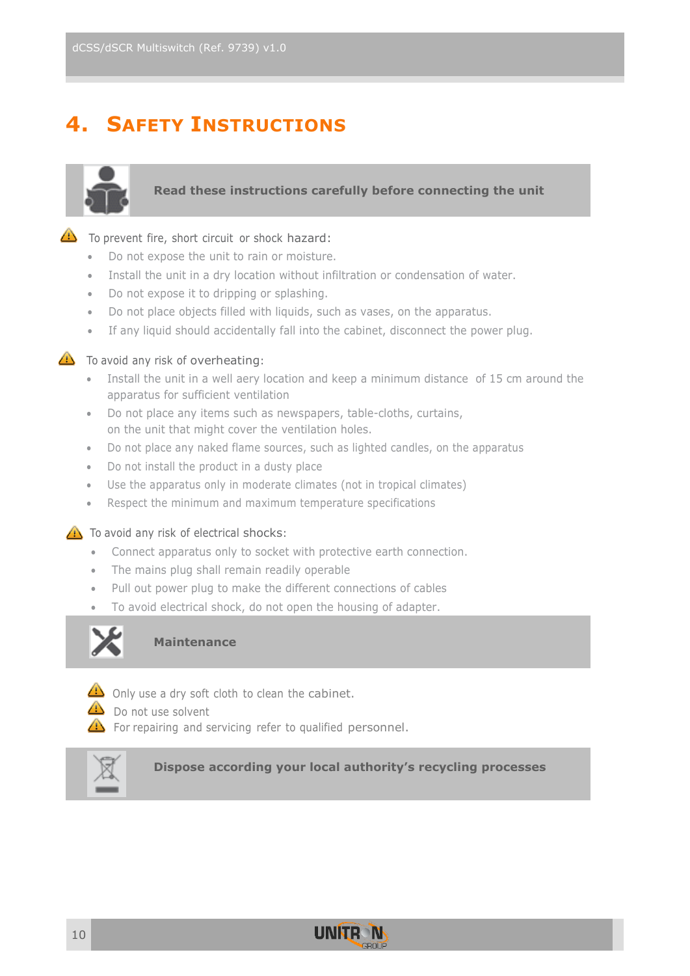### <span id="page-9-0"></span>**4. SAFETY INSTRUCTIONS**



#### **Read these instructions carefully before connecting the unit**

#### $\bigoplus$  To prevent fire, short circuit or shock hazard:

- Do not expose the unit to rain or moisture.
- Install the unit in a dry location without infiltration or condensation of water.
- Do not expose it to dripping or splashing.
- Do not place objects filled with liquids, such as vases, on the apparatus.
- If any liquid should accidentally fall into the cabinet, disconnect the power plug.



#### $\triangle$  To avoid any risk of overheating:

- Install the unit in a well aery location and keep a minimum distance of 15 cm around the apparatus for sufficient ventilation
- Do not place any items such as newspapers, table-cloths, curtains, on the unit that might cover the ventilation holes.
- Do not place any naked flame sources, such as lighted candles, on the apparatus
- Do not install the product in a dusty place
- Use the apparatus only in moderate climates (not in tropical climates)
- Respect the minimum and maximum temperature specifications

#### $\triangle$  To avoid any risk of electrical shocks:

- Connect apparatus only to socket with protective earth connection.
- The mains plug shall remain readily operable
- Pull out power plug to make the different connections of cables
- To avoid electrical shock, do not open the housing of adapter.



#### **Maintenance**



 $\triangle$  Only use a dry soft cloth to clean the cabinet.

 $\bigcirc$  Do not use solvent

For repairing and servicing refer to qualified personnel.



**Dispose according your local authority's recycling processes**